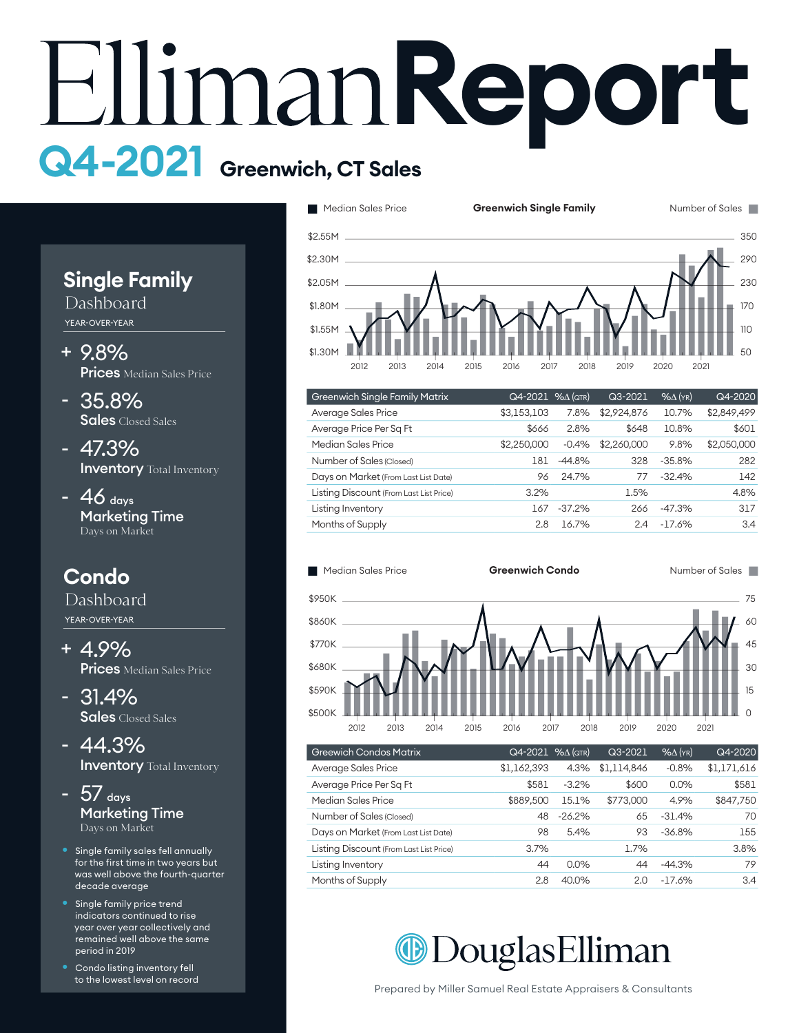# **Report Q4-2021 Greenwich, CT Sales**



Dashboard YEAR-OVER-YEAR

- 9.8% + **Prices** Median Sales Price
- 35.8% Sales Closed Sales
- 47.3% **Inventory** Total Inventory
- $46$  days Marketing Time Days on Market

# **Condo**

Dashboard YEAR-OVER-YEAR

- 4.9% + **Prices** Median Sales Price
- 31.4% Sales Closed Sales
- 44.3% **Inventory** Total Inventory
- $5/$  days Marketing Time Days on Market
- Single family sales fell annually for the first time in two years but was well above the fourth-quarter decade average
- Single family price trend indicators continued to rise year over year collectively and remained well above the same period in 2019
- Condo listing inventory fell to the lowest level on record



| <b>Greenwich Single Family Matrix</b>   | Q4-2021     | $% \Delta$ (qtr) | Q3-2021     | $%$ $\Delta$ (YR) | Q4-2020     |
|-----------------------------------------|-------------|------------------|-------------|-------------------|-------------|
| Average Sales Price                     | \$3,153,103 | 7.8%             | \$2,924,876 | 10.7%             | \$2,849,499 |
| Average Price Per Sq Ft                 | \$666       | 2.8%             | \$648       | 10.8%             | \$601       |
| Median Sales Price                      | \$2,250,000 | $-0.4%$          | \$2,260,000 | 9.8%              | \$2,050,000 |
| Number of Sales (Closed)                | 181         | $-44.8%$         | 328         | $-35.8%$          | 282         |
| Days on Market (From Last List Date)    | 96          | 24.7%            | 77          | $-32.4%$          | 142         |
| Listing Discount (From Last List Price) | 3.2%        |                  | 1.5%        |                   | 4.8%        |
| Listing Inventory                       | 167         | $-37.2%$         | 266         | $-47.3%$          | 317         |
| Months of Supply                        | 2.8         | 16.7%            | 2.4         | $-17.6%$          | 3.4         |



| <b>Greewich Condos Matrix</b>           | $Q4 - 2021$ % $\Delta$ (QTR) |          | Q3-2021     | $%$ $\Delta$ (YR) | Q4-2020     |
|-----------------------------------------|------------------------------|----------|-------------|-------------------|-------------|
| Average Sales Price                     | \$1,162,393                  | 4.3%     | \$1.114.846 | $-0.8%$           | \$1,171,616 |
| Average Price Per Sq Ft                 | \$581                        | $-3.2%$  | \$600       | 0.0%              | \$581       |
| Median Sales Price                      | \$889,500                    | 15.1%    | \$773,000   | 4.9%              | \$847,750   |
| Number of Sales (Closed)                | 48                           | $-26.2%$ | 65          | $-31.4%$          | 70          |
| Days on Market (From Last List Date)    | 98                           | 5.4%     | 93          | $-36.8%$          | 155         |
| Listing Discount (From Last List Price) | 3.7%                         |          | 1.7%        |                   | 3.8%        |
| Listing Inventory                       | 44                           | 0.0%     | 44          | $-44.3%$          | 79          |
| Months of Supply                        | 2.8                          | 40.0%    | 2.0         | $-17.6%$          | 3.4         |

**ODouglasElliman** 

Prepared by Miller Samuel Real Estate Appraisers & Consultants